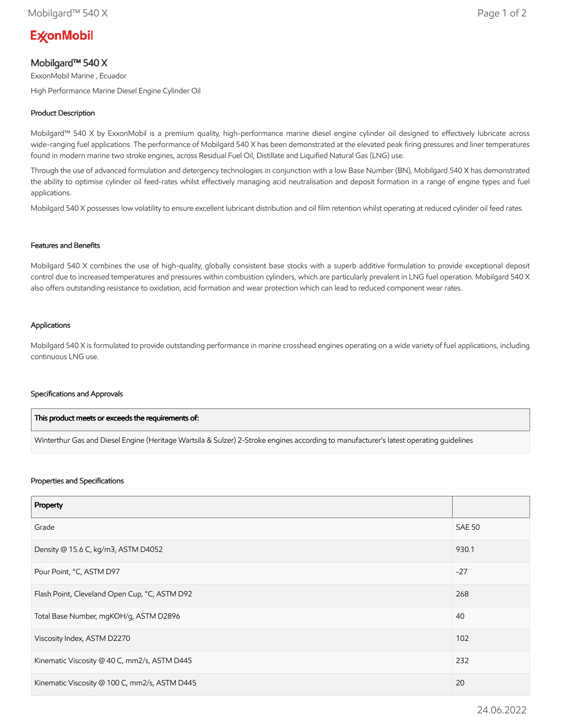# **ExconMobil**

## Mobilgard™ 540 X

ExxonMobil Marine , Ecuador

High Performance Marine Diesel Engine Cylinder Oil

### Product Description

Mobilgard™ 540 X by ExxonMobil is a premium quality, high-performance marine diesel engine cylinder oil designed to effectively lubricate across wide-ranging fuel applications. The performance of Mobilgard 540 X has been demonstrated at the elevated peak firing pressures and liner temperatures found in modern marine two stroke engines, across Residual Fuel Oil, Distillate and Liquified Natural Gas (LNG) use.

Through the use of advanced formulation and detergency technologies in conjunction with a low Base Number (BN), Mobilgard 540 X has demonstrated the ability to optimise cylinder oil feed-rates whilst effectively managing acid neutralisation and deposit formation in a range of engine types and fuel applications.

Mobilgard 540 X possesses low volatility to ensure excellent lubricant distribution and oil film retention whilst operating at reduced cylinder oil feed rates.

#### Features and Benefits

Mobilgard 540 X combines the use of high-quality, globally consistent base stocks with a superb additive formulation to provide exceptional deposit control due to increased temperatures and pressures within combustion cylinders, which are particularly prevalent in LNG fuel operation. Mobilgard 540 X also offers outstanding resistance to oxidation, acid formation and wear protection which can lead to reduced component wear rates.

#### Applications

Mobilgard 540 X is formulated to provide outstanding performance in marine crosshead engines operating on a wide variety of fuel applications, including continuous LNG use.

#### Specifications and Approvals

| This product meets or exceeds the requirements of:                                                                                     |  |
|----------------------------------------------------------------------------------------------------------------------------------------|--|
| Winterthur Gas and Diesel Engine (Heritage Wartsila & Sulzer) 2-Stroke engines according to manufacturer's latest operating quidelines |  |

#### Properties and Specifications

| Property                                      |               |
|-----------------------------------------------|---------------|
| Grade                                         | <b>SAE 50</b> |
| Density @ 15.6 C, kg/m3, ASTM D4052           | 930.1         |
| Pour Point, °C, ASTM D97                      | $-27$         |
| Flash Point, Cleveland Open Cup, °C, ASTM D92 | 268           |
| Total Base Number, mgKOH/g, ASTM D2896        | 40            |
| Viscosity Index, ASTM D2270                   | 102           |
| Kinematic Viscosity @ 40 C, mm2/s, ASTM D445  | 232           |
| Kinematic Viscosity @ 100 C, mm2/s, ASTM D445 | 20            |